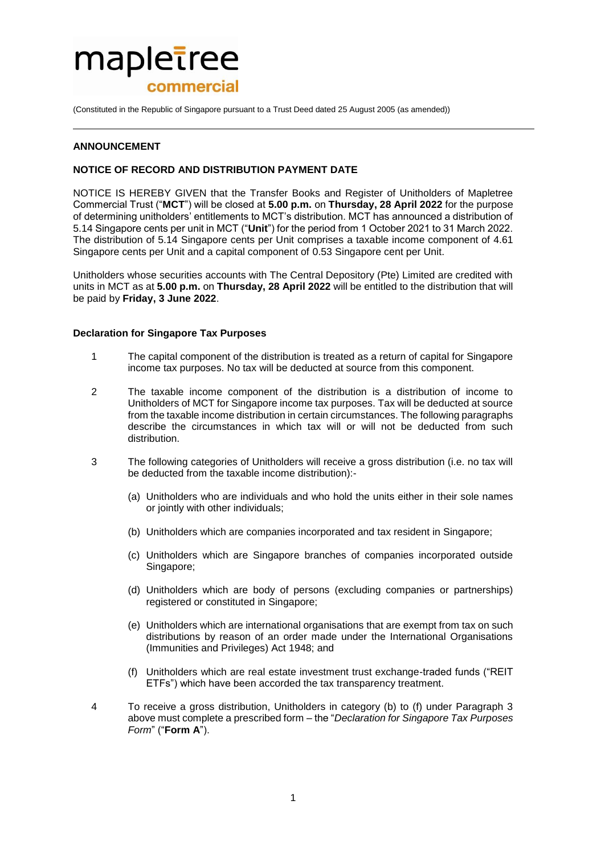# mapletree commercial

(Constituted in the Republic of Singapore pursuant to a Trust Deed dated 25 August 2005 (as amended))

# **ANNOUNCEMENT**

# **NOTICE OF RECORD AND DISTRIBUTION PAYMENT DATE**

NOTICE IS HEREBY GIVEN that the Transfer Books and Register of Unitholders of Mapletree Commercial Trust ("**MCT**") will be closed at **5.00 p.m.** on **Thursday, 28 April 2022** for the purpose of determining unitholders' entitlements to MCT's distribution. MCT has announced a distribution of 5.14 Singapore cents per unit in MCT ("**Unit**") for the period from 1 October 2021 to 31 March 2022. The distribution of 5.14 Singapore cents per Unit comprises a taxable income component of 4.61 Singapore cents per Unit and a capital component of 0.53 Singapore cent per Unit.

Unitholders whose securities accounts with The Central Depository (Pte) Limited are credited with units in MCT as at **5.00 p.m.** on **Thursday, 28 April 2022** will be entitled to the distribution that will be paid by **Friday, 3 June 2022**.

### **Declaration for Singapore Tax Purposes**

- 1 The capital component of the distribution is treated as a return of capital for Singapore income tax purposes. No tax will be deducted at source from this component.
- 2 The taxable income component of the distribution is a distribution of income to Unitholders of MCT for Singapore income tax purposes. Tax will be deducted at source from the taxable income distribution in certain circumstances. The following paragraphs describe the circumstances in which tax will or will not be deducted from such distribution.
- 3 The following categories of Unitholders will receive a gross distribution (i.e. no tax will be deducted from the taxable income distribution):-
	- (a) Unitholders who are individuals and who hold the units either in their sole names or jointly with other individuals;
	- (b) Unitholders which are companies incorporated and tax resident in Singapore;
	- (c) Unitholders which are Singapore branches of companies incorporated outside Singapore;
	- (d) Unitholders which are body of persons (excluding companies or partnerships) registered or constituted in Singapore;
	- (e) Unitholders which are international organisations that are exempt from tax on such distributions by reason of an order made under the International Organisations (Immunities and Privileges) Act 1948; and
	- (f) Unitholders which are real estate investment trust exchange-traded funds ("REIT ETFs") which have been accorded the tax transparency treatment.
- 4 To receive a gross distribution, Unitholders in category (b) to (f) under Paragraph 3 above must complete a prescribed form – the "*Declaration for Singapore Tax Purposes Form*" ("**Form A**").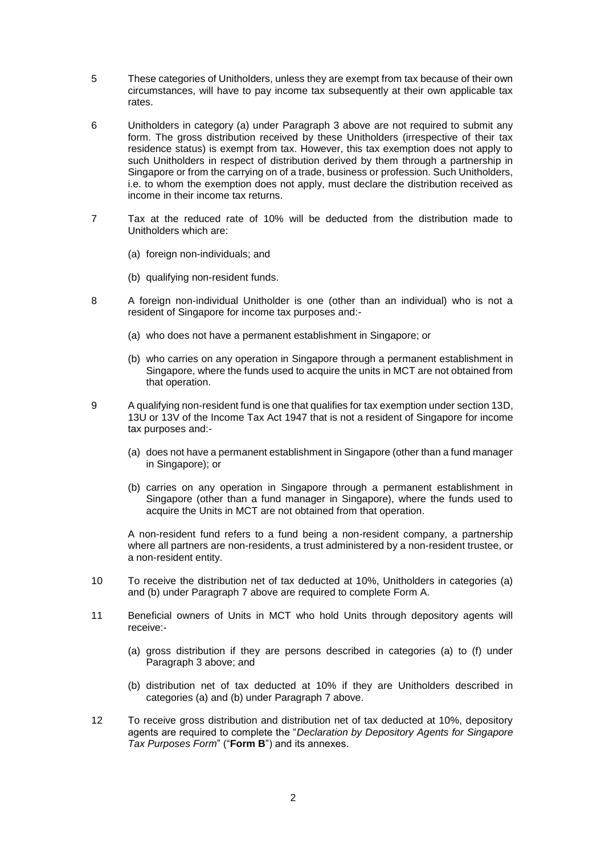- 5 These categories of Unitholders, unless they are exempt from tax because of their own circumstances, will have to pay income tax subsequently at their own applicable tax rates.
- 6 Unitholders in category (a) under Paragraph 3 above are not required to submit any form. The gross distribution received by these Unitholders (irrespective of their tax residence status) is exempt from tax. However, this tax exemption does not apply to such Unitholders in respect of distribution derived by them through a partnership in Singapore or from the carrying on of a trade, business or profession. Such Unitholders, i.e. to whom the exemption does not apply, must declare the distribution received as income in their income tax returns.
- 7 Tax at the reduced rate of 10% will be deducted from the distribution made to Unitholders which are:
	- (a) foreign non-individuals; and
	- (b) qualifying non-resident funds.
- 8 A foreign non-individual Unitholder is one (other than an individual) who is not a resident of Singapore for income tax purposes and:-
	- (a) who does not have a permanent establishment in Singapore; or
	- (b) who carries on any operation in Singapore through a permanent establishment in Singapore, where the funds used to acquire the units in MCT are not obtained from that operation.
- 9 A qualifying non-resident fund is one that qualifies for tax exemption under section 13D, 13U or 13V of the Income Tax Act 1947 that is not a resident of Singapore for income tax purposes and:-
	- (a) does not have a permanent establishment in Singapore (other than a fund manager in Singapore); or
	- (b) carries on any operation in Singapore through a permanent establishment in Singapore (other than a fund manager in Singapore), where the funds used to acquire the Units in MCT are not obtained from that operation.

A non-resident fund refers to a fund being a non-resident company, a partnership where all partners are non-residents, a trust administered by a non-resident trustee, or a non-resident entity.

- 10 To receive the distribution net of tax deducted at 10%, Unitholders in categories (a) and (b) under Paragraph 7 above are required to complete Form A.
- 11 Beneficial owners of Units in MCT who hold Units through depository agents will receive:-
	- (a) gross distribution if they are persons described in categories (a) to (f) under Paragraph 3 above; and
	- (b) distribution net of tax deducted at 10% if they are Unitholders described in categories (a) and (b) under Paragraph 7 above.
- 12 To receive gross distribution and distribution net of tax deducted at 10%, depository agents are required to complete the "*Declaration by Depository Agents for Singapore Tax Purposes Form*" ("**Form B**") and its annexes.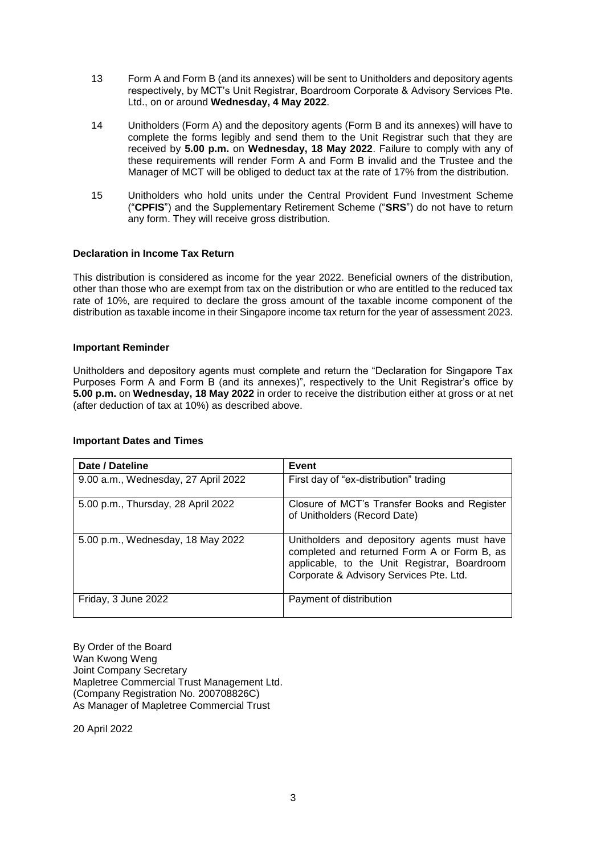- 13 Form A and Form B (and its annexes) will be sent to Unitholders and depository agents respectively, by MCT's Unit Registrar, Boardroom Corporate & Advisory Services Pte. Ltd., on or around **Wednesday, 4 May 2022**.
- 14 Unitholders (Form A) and the depository agents (Form B and its annexes) will have to complete the forms legibly and send them to the Unit Registrar such that they are received by **5.00 p.m.** on **Wednesday, 18 May 2022**. Failure to comply with any of these requirements will render Form A and Form B invalid and the Trustee and the Manager of MCT will be obliged to deduct tax at the rate of 17% from the distribution.
- 15 Unitholders who hold units under the Central Provident Fund Investment Scheme ("**CPFIS**") and the Supplementary Retirement Scheme ("**SRS**") do not have to return any form. They will receive gross distribution.

# **Declaration in Income Tax Return**

This distribution is considered as income for the year 2022. Beneficial owners of the distribution, other than those who are exempt from tax on the distribution or who are entitled to the reduced tax rate of 10%, are required to declare the gross amount of the taxable income component of the distribution as taxable income in their Singapore income tax return for the year of assessment 2023.

### **Important Reminder**

Unitholders and depository agents must complete and return the "Declaration for Singapore Tax Purposes Form A and Form B (and its annexes)", respectively to the Unit Registrar's office by **5.00 p.m.** on **Wednesday, 18 May 2022** in order to receive the distribution either at gross or at net (after deduction of tax at 10%) as described above.

| Date / Dateline                     | <b>Event</b>                                                                                                                                                                          |
|-------------------------------------|---------------------------------------------------------------------------------------------------------------------------------------------------------------------------------------|
| 9.00 a.m., Wednesday, 27 April 2022 | First day of "ex-distribution" trading                                                                                                                                                |
| 5.00 p.m., Thursday, 28 April 2022  | Closure of MCT's Transfer Books and Register<br>of Unitholders (Record Date)                                                                                                          |
| 5.00 p.m., Wednesday, 18 May 2022   | Unitholders and depository agents must have<br>completed and returned Form A or Form B, as<br>applicable, to the Unit Registrar, Boardroom<br>Corporate & Advisory Services Pte. Ltd. |
| Friday, 3 June 2022                 | Payment of distribution                                                                                                                                                               |

By Order of the Board Wan Kwong Weng Joint Company Secretary Mapletree Commercial Trust Management Ltd. (Company Registration No. 200708826C) As Manager of Mapletree Commercial Trust

20 April 2022